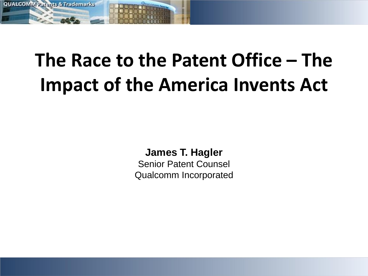

### **The Race to the Patent Office – The Impact of the America Invents Act**

**James T. Hagler**

Senior Patent Counsel Qualcomm Incorporated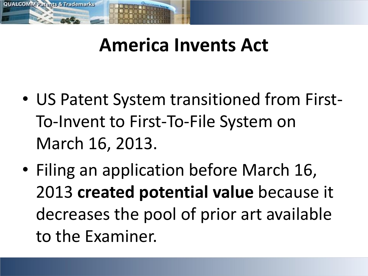

### **America Invents Act**

- US Patent System transitioned from First-To-Invent to First-To-File System on March 16, 2013.
- Filing an application before March 16, 2013 **created potential value** because it decreases the pool of prior art available to the Examiner.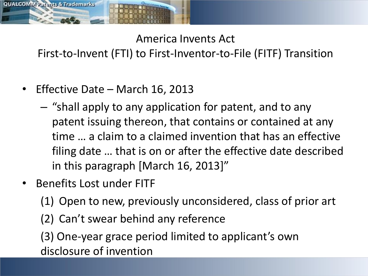

America Invents Act

First-to-Invent (FTI) to First-Inventor-to-File (FITF) Transition

- Effective Date March 16, 2013
	- "shall apply to any application for patent, and to any patent issuing thereon, that contains or contained at any time … a claim to a claimed invention that has an effective filing date … that is on or after the effective date described in this paragraph [March 16, 2013]"
- Benefits Lost under FITF
	- (1) Open to new, previously unconsidered, class of prior art
	- (2) Can't swear behind any reference

(3) One-year grace period limited to applicant's own disclosure of invention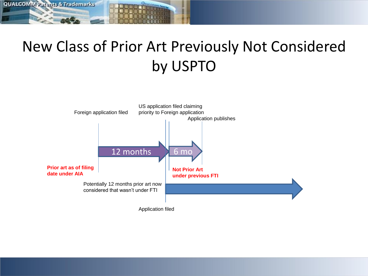

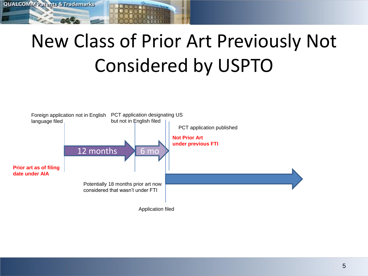### New Class of Prior Art Previously Not Considered by USPTO

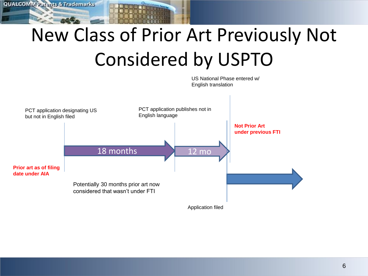# New Class of Prior Art Previously Not Considered by USPTO

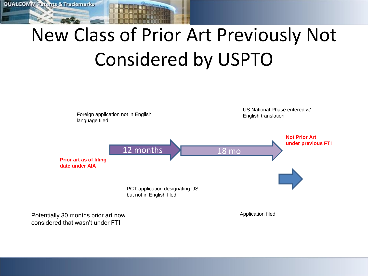# New Class of Prior Art Previously Not Considered by USPTO



considered that wasn't under FTI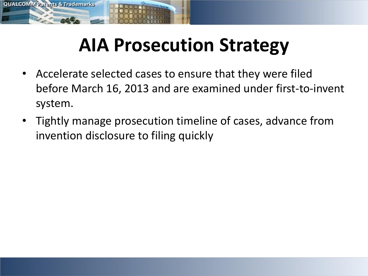

### **AIA Prosecution Strategy**

- Accelerate selected cases to ensure that they were filed before March 16, 2013 and are examined under first-to-invent system.
- Tightly manage prosecution timeline of cases, advance from invention disclosure to filing quickly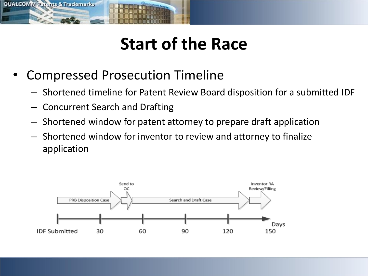

#### **Start of the Race**

- Compressed Prosecution Timeline
	- Shortened timeline for Patent Review Board disposition for a submitted IDF
	- Concurrent Search and Drafting
	- Shortened window for patent attorney to prepare draft application
	- Shortened window for inventor to review and attorney to finalize application

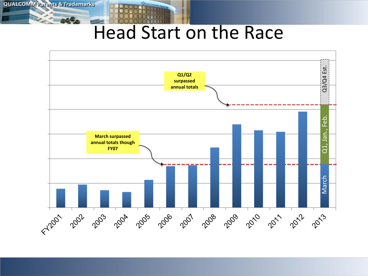#### Head Start on the Race

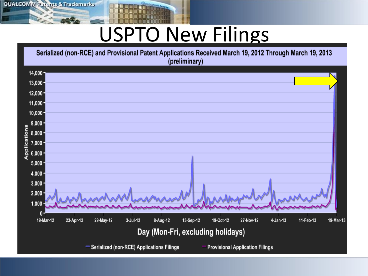**QUALCOMM Patents & Trademarks** 

# USPTO New Filings

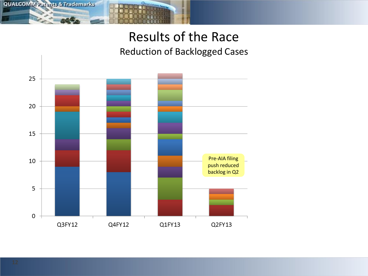

#### Results of the Race Reduction of Backlogged Cases